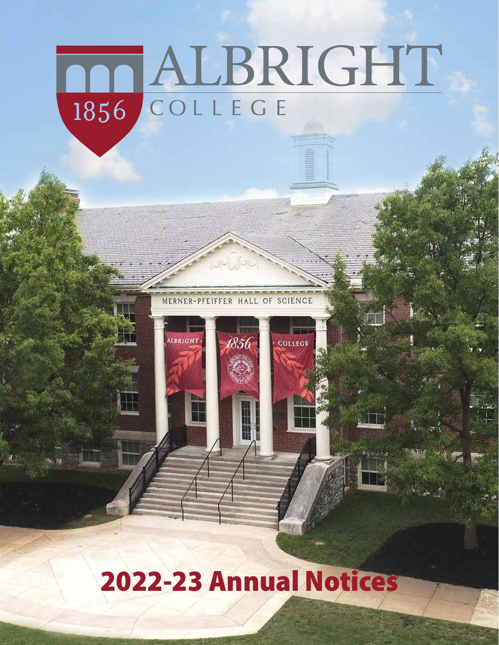## TALBRIGHT COLLEGE 1856

**SCIENCE** OF MERNER-PFEIFFER HALL

1856

COLLEGE

**ALBRIGHT** 

## 2022-23 Annual Notices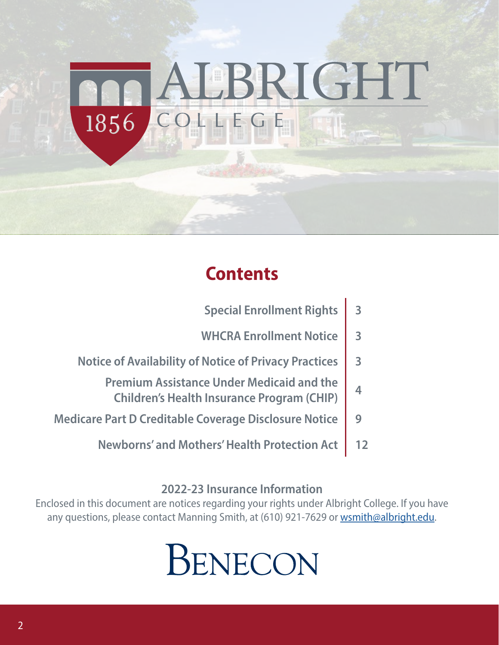## LBRIGHT COLLEGE 1856

## **Contents**

| <b>Special Enrollment Rights</b>                                                                      | $\overline{3}$          |
|-------------------------------------------------------------------------------------------------------|-------------------------|
| <b>WHCRA Enrollment Notice</b>                                                                        | $\overline{\mathbf{3}}$ |
| <b>Notice of Availability of Notice of Privacy Practices</b>                                          | $\overline{\mathbf{3}}$ |
| <b>Premium Assistance Under Medicaid and the</b><br><b>Children's Health Insurance Program (CHIP)</b> |                         |
| <b>Medicare Part D Creditable Coverage Disclosure Notice</b>                                          |                         |
| <b>Newborns' and Mothers' Health Protection Act</b>                                                   |                         |

### **2022-23 Insurance Information**

Enclosed in this document are notices regarding your rights under Albright College. If you have any questions, please contact Manning Smith, at (610) 921-7629 or wsmith@albright.edu.

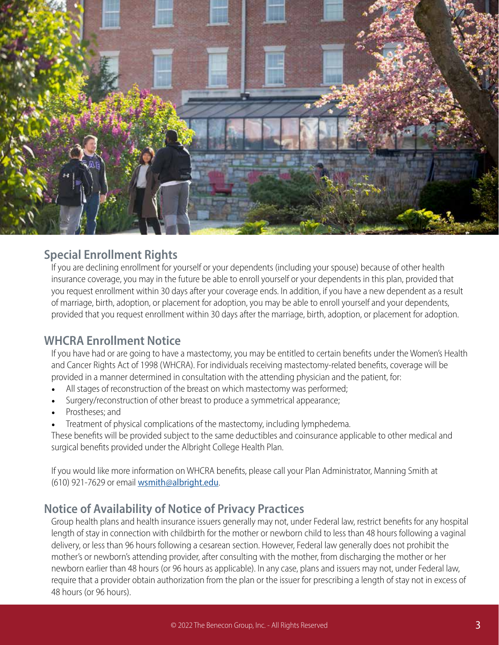

### **Special Enrollment Rights**

If you are declining enrollment for yourself or your dependents (including your spouse) because of other health insurance coverage, you may in the future be able to enroll yourself or your dependents in this plan, provided that you request enrollment within 30 days after your coverage ends. In addition, if you have a new dependent as a result of marriage, birth, adoption, or placement for adoption, you may be able to enroll yourself and your dependents, provided that you request enrollment within 30 days after the marriage, birth, adoption, or placement for adoption.

### **WHCRA Enrollment Notice**

If you have had or are going to have a mastectomy, you may be entitled to certain benefits under the Women's Health and Cancer Rights Act of 1998 (WHCRA). For individuals receiving mastectomy-related benefits, coverage will be provided in a manner determined in consultation with the attending physician and the patient, for:

- All stages of reconstruction of the breast on which mastectomy was performed;
- Surgery/reconstruction of other breast to produce a symmetrical appearance;
- Prostheses; and
- Treatment of physical complications of the mastectomy, including lymphedema.

These benefits will be provided subject to the same deductibles and coinsurance applicable to other medical and surgical benefits provided under the Albright College Health Plan.

If you would like more information on WHCRA benefits, please call your Plan Administrator, Manning Smith at (610) 921-7629 or email wsmith@albright.edu.

### **Notice of Availability of Notice of Privacy Practices**

Group health plans and health insurance issuers generally may not, under Federal law, restrict benefits for any hospital length of stay in connection with childbirth for the mother or newborn child to less than 48 hours following a vaginal delivery, or less than 96 hours following a cesarean section. However, Federal law generally does not prohibit the mother's or newborn's attending provider, after consulting with the mother, from discharging the mother or her newborn earlier than 48 hours (or 96 hours as applicable). In any case, plans and issuers may not, under Federal law, require that a provider obtain authorization from the plan or the issuer for prescribing a length of stay not in excess of 48 hours (or 96 hours).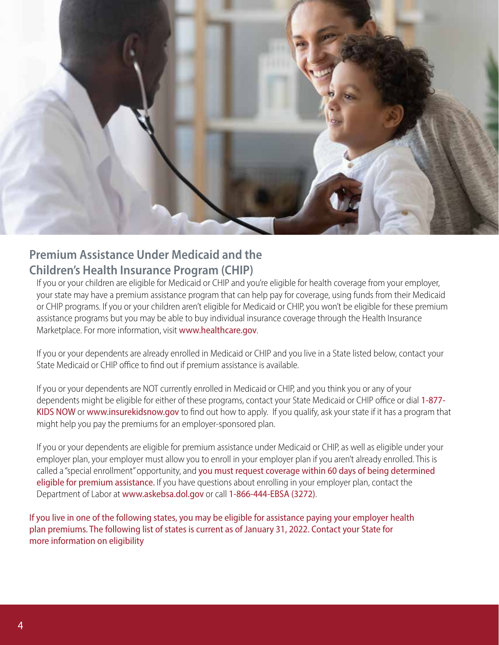

### **Premium Assistance Under Medicaid and the Children's Health Insurance Program (CHIP)**

If you or your children are eligible for Medicaid or CHIP and you're eligible for health coverage from your employer, your state may have a premium assistance program that can help pay for coverage, using funds from their Medicaid or CHIP programs. If you or your children aren't eligible for Medicaid or CHIP, you won't be eligible for these premium assistance programs but you may be able to buy individual insurance coverage through the Health Insurance Marketplace. For more information, visit www.healthcare.gov.

If you or your dependents are already enrolled in Medicaid or CHIP and you live in a State listed below, contact your State Medicaid or CHIP office to find out if premium assistance is available.

If you or your dependents are NOT currently enrolled in Medicaid or CHIP, and you think you or any of your dependents might be eligible for either of these programs, contact your State Medicaid or CHIP office or dial 1-877-KIDS NOW or www.insurekidsnow.gov to find out how to apply. If you qualify, ask your state if it has a program that might help you pay the premiums for an employer-sponsored plan.

If you or your dependents are eligible for premium assistance under Medicaid or CHIP, as well as eligible under your employer plan, your employer must allow you to enroll in your employer plan if you aren't already enrolled. This is called a "special enrollment" opportunity, and you must request coverage within 60 days of being determined eligible for premium assistance. If you have questions about enrolling in your employer plan, contact the Department of Labor at www.askebsa.dol.gov or call 1-866-444-EBSA (3272).

If you live in one of the following states, you may be eligible for assistance paying your employer health plan premiums. The following list of states is current as of January 31, 2022. Contact your State for more information on eligibility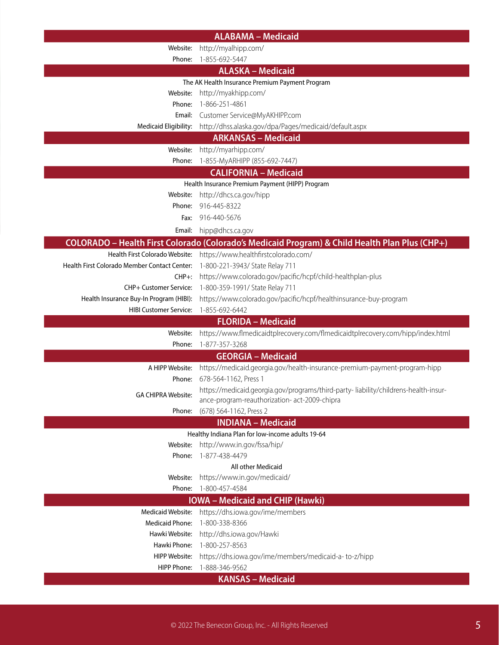| <b>ALABAMA - Medicaid</b>                    |                                                                                                           |  |
|----------------------------------------------|-----------------------------------------------------------------------------------------------------------|--|
| Website:                                     | http://myalhipp.com/                                                                                      |  |
| Phone:                                       | 1-855-692-5447                                                                                            |  |
|                                              | <b>ALASKA - Medicaid</b>                                                                                  |  |
|                                              | The AK Health Insurance Premium Payment Program                                                           |  |
| Website:                                     | http://myakhipp.com/                                                                                      |  |
| Phone:                                       | 1-866-251-4861                                                                                            |  |
|                                              | Email: Customer Service@MyAKHIPP.com                                                                      |  |
|                                              | Medicaid Eligibility: http://dhss.alaska.gov/dpa/Pages/medicaid/default.aspx                              |  |
|                                              | <b>ARKANSAS - Medicaid</b>                                                                                |  |
| Website:                                     | http://myarhipp.com/                                                                                      |  |
| Phone:                                       | 1-855-MyARHIPP (855-692-7447)                                                                             |  |
|                                              | <b>CALIFORNIA - Medicaid</b>                                                                              |  |
|                                              | Health Insurance Premium Payment (HIPP) Program                                                           |  |
| Website:                                     | http://dhcs.ca.gov/hipp                                                                                   |  |
| Phone:                                       | 916-445-8322                                                                                              |  |
| Fax:                                         | 916-440-5676                                                                                              |  |
| Email:                                       | hipp@dhcs.ca.gov                                                                                          |  |
|                                              | COLORADO - Health First Colorado (Colorado's Medicaid Program) & Child Health Plan Plus (CHP+)            |  |
|                                              | Health First Colorado Website: https://www.healthfirstcolorado.com/                                       |  |
| Health First Colorado Member Contact Center: | 1-800-221-3943/ State Relay 711                                                                           |  |
| $CHP+$ :                                     | https://www.colorado.gov/pacific/hcpf/child-healthplan-plus                                               |  |
|                                              | CHP+ Customer Service: 1-800-359-1991/ State Relay 711                                                    |  |
|                                              | Health Insurance Buy-In Program (HIBI): https://www.colorado.gov/pacific/hcpf/healthinsurance-buy-program |  |
| <b>HIBI Customer Service:</b>                | 1-855-692-6442                                                                                            |  |
|                                              | <b>FLORIDA - Medicaid</b>                                                                                 |  |
| Website:                                     | https://www.flmedicaidtplrecovery.com/flmedicaidtplrecovery.com/hipp/index.html                           |  |
| Phone:                                       | 1-877-357-3268                                                                                            |  |
|                                              | <b>GEORGIA - Medicaid</b>                                                                                 |  |
|                                              | A HIPP Website: https://medicaid.georgia.gov/health-insurance-premium-payment-program-hipp                |  |
|                                              | Phone: 678-564-1162, Press 1                                                                              |  |
| <b>GA CHIPRA Website:</b>                    | https://medicaid.georgia.gov/programs/third-party-liability/childrens-health-insur-                       |  |
|                                              | ance-program-reauthorization- act-2009-chipra                                                             |  |
| Phone:                                       | (678) 564-1162, Press 2                                                                                   |  |
|                                              | <b>INDIANA - Medicaid</b>                                                                                 |  |
|                                              | Healthy Indiana Plan for low-income adults 19-64                                                          |  |
| Website:                                     | http://www.in.gov/fssa/hip/                                                                               |  |
| Phone:                                       | 1-877-438-4479                                                                                            |  |
|                                              | All other Medicaid                                                                                        |  |
| Website:                                     | https://www.in.gov/medicaid/                                                                              |  |
| Phone:                                       | 1-800-457-4584                                                                                            |  |
| <b>IOWA</b> – Medicaid and CHIP (Hawki)      |                                                                                                           |  |
| <b>Medicaid Website:</b>                     | https://dhs.iowa.gov/ime/members                                                                          |  |
| <b>Medicaid Phone:</b>                       | 1-800-338-8366                                                                                            |  |
| Hawki Website:                               | http://dhs.iowa.gov/Hawki                                                                                 |  |
| Hawki Phone:                                 | 1-800-257-8563                                                                                            |  |
| HIPP Website:                                | https://dhs.iowa.gov/ime/members/medicaid-a-to-z/hipp                                                     |  |
| <b>HIPP Phone:</b>                           | 1-888-346-9562                                                                                            |  |
|                                              | <b>KANSAS - Medicaid</b>                                                                                  |  |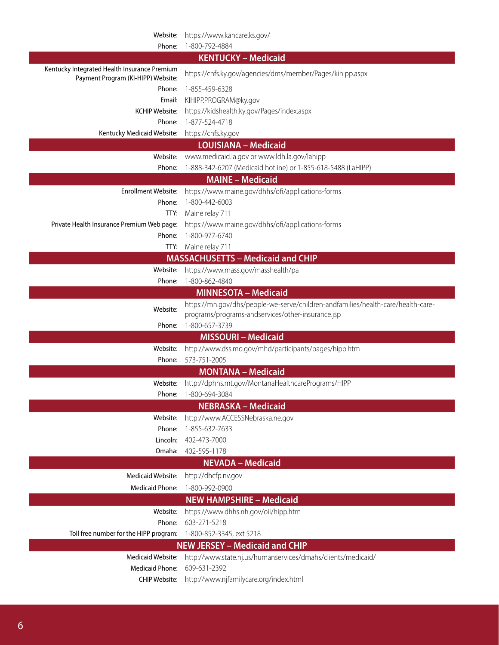|                                                                                    | Website: https://www.kancare.ks.gov/                                             |
|------------------------------------------------------------------------------------|----------------------------------------------------------------------------------|
| Phone:                                                                             | 1-800-792-4884                                                                   |
|                                                                                    | <b>KENTUCKY - Medicaid</b>                                                       |
| Kentucky Integrated Health Insurance Premium<br>Payment Program (KI-HIPP) Website: | https://chfs.ky.gov/agencies/dms/member/Pages/kihipp.aspx                        |
| Phone:                                                                             | 1-855-459-6328                                                                   |
| Email:                                                                             | KIHIPP.PROGRAM@ky.gov                                                            |
| KCHIP Website:                                                                     | https://kidshealth.ky.gov/Pages/index.aspx                                       |
| Phone:                                                                             | 1-877-524-4718                                                                   |
| Kentucky Medicaid Website:                                                         | https://chfs.ky.gov                                                              |
|                                                                                    | <b>LOUISIANA - Medicaid</b>                                                      |
| Website:                                                                           | www.medicaid.la.gov or www.ldh.la.gov/lahipp                                     |
| Phone:                                                                             | 1-888-342-6207 (Medicaid hotline) or 1-855-618-5488 (LaHIPP)                     |
|                                                                                    | <b>MAINE - Medicaid</b>                                                          |
|                                                                                    | Enrollment Website: https://www.maine.gov/dhhs/ofi/applications-forms            |
| Phone:                                                                             | 1-800-442-6003                                                                   |
|                                                                                    | TTY: Maine relay 711                                                             |
| Private Health Insurance Premium Web page:                                         | https://www.maine.gov/dhhs/ofi/applications-forms                                |
| Phone:                                                                             | 1-800-977-6740                                                                   |
|                                                                                    | TTY: Maine relay 711                                                             |
|                                                                                    | <b>MASSACHUSETTS - Medicaid and CHIP</b>                                         |
|                                                                                    | Website: https://www.mass.gov/masshealth/pa                                      |
| Phone:                                                                             | 1-800-862-4840                                                                   |
|                                                                                    | <b>MINNESOTA - Medicaid</b>                                                      |
| Website:                                                                           | https://mn.gov/dhs/people-we-serve/children-andfamilies/health-care/health-care- |
|                                                                                    | programs/programs-andservices/other-insurance.jsp                                |
| Phone:                                                                             | 1-800-657-3739                                                                   |
|                                                                                    | <b>MISSOURI - Medicaid</b>                                                       |
| Website:                                                                           | http://www.dss.mo.gov/mhd/participants/pages/hipp.htm                            |
| Phone:                                                                             | 573-751-2005                                                                     |
|                                                                                    | <b>MONTANA - Medicaid</b>                                                        |
| Website:                                                                           | http://dphhs.mt.gov/MontanaHealthcarePrograms/HIPP                               |
|                                                                                    | Phone: 1-800-694-3084                                                            |
|                                                                                    | <b>NEBRASKA - Medicaid</b>                                                       |
| Website:                                                                           | http://www.ACCESSNebraska.ne.gov                                                 |
| Phone:                                                                             | 1-855-632-7633                                                                   |
| Lincoln:<br>Omaha:                                                                 | 402-473-7000<br>402-595-1178                                                     |
|                                                                                    | <b>NEVADA - Medicaid</b>                                                         |
|                                                                                    |                                                                                  |
| Medicaid Website:                                                                  | http://dhcfp.nv.gov                                                              |
| <b>Medicaid Phone:</b>                                                             | 1-800-992-0900                                                                   |
|                                                                                    | <b>NEW HAMPSHIRE - Medicaid</b>                                                  |
| Website:                                                                           | https://www.dhhs.nh.gov/oii/hipp.htm                                             |
| Phone:                                                                             | 603-271-5218                                                                     |
| Toll free number for the HIPP program:                                             | 1-800-852-3345, ext 5218                                                         |
|                                                                                    | <b>NEW JERSEY - Medicaid and CHIP</b>                                            |
| <b>Medicaid Website:</b>                                                           | http://www.state.nj.us/humanservices/dmahs/clients/medicaid/                     |
| <b>Medicaid Phone:</b>                                                             | 609-631-2392                                                                     |
| CHIP Website:                                                                      | http://www.njfamilycare.org/index.html                                           |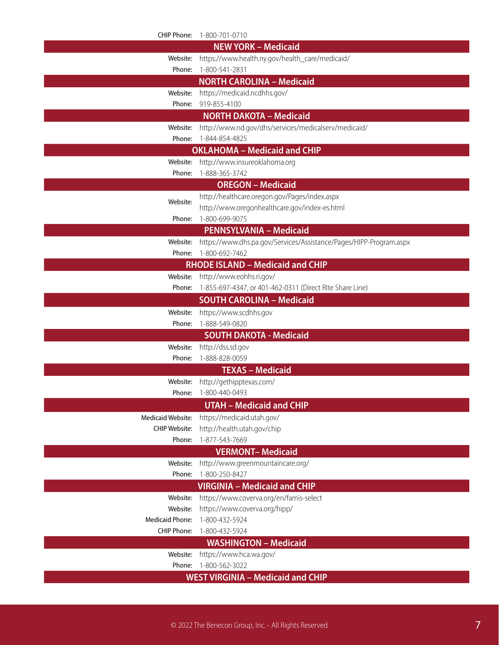|                                     | CHIP Phone: 1-800-701-0710                                         |  |  |
|-------------------------------------|--------------------------------------------------------------------|--|--|
|                                     | <b>NEW YORK - Medicaid</b>                                         |  |  |
| Website:                            | https://www.health.ny.gov/health_care/medicaid/                    |  |  |
| Phone:                              | 1-800-541-2831                                                     |  |  |
|                                     | <b>NORTH CAROLINA - Medicaid</b>                                   |  |  |
| Website:                            | https://medicaid.ncdhhs.gov/                                       |  |  |
|                                     | Phone: 919-855-4100                                                |  |  |
|                                     | <b>NORTH DAKOTA - Medicaid</b>                                     |  |  |
| Website:                            | http://www.nd.gov/dhs/services/medicalserv/medicaid/               |  |  |
|                                     | Phone: 1-844-854-4825                                              |  |  |
| <b>OKLAHOMA - Medicaid and CHIP</b> |                                                                    |  |  |
|                                     | Website: http://www.insureoklahoma.org                             |  |  |
|                                     | Phone: 1-888-365-3742                                              |  |  |
|                                     | <b>OREGON - Medicaid</b>                                           |  |  |
| Website:                            | http://healthcare.oregon.gov/Pages/index.aspx                      |  |  |
|                                     | http://www.oregonhealthcare.gov/index-es.html                      |  |  |
| Phone:                              | 1-800-699-9075                                                     |  |  |
|                                     | <b>PENNSYLVANIA - Medicaid</b>                                     |  |  |
| Website:                            | https://www.dhs.pa.gov/Services/Assistance/Pages/HIPP-Program.aspx |  |  |
| Phone:                              | 1-800-692-7462                                                     |  |  |
|                                     | <b>RHODE ISLAND - Medicaid and CHIP</b>                            |  |  |
|                                     | Website: http://www.eohhs.ri.gov/                                  |  |  |
| Phone:                              | 1-855-697-4347, or 401-462-0311 (Direct RIte Share Line)           |  |  |
|                                     | <b>SOUTH CAROLINA - Medicaid</b>                                   |  |  |
| Website:                            | https://www.scdhhs.gov                                             |  |  |
| Phone:                              | 1-888-549-0820                                                     |  |  |
|                                     | <b>SOUTH DAKOTA - Medicaid</b>                                     |  |  |
| Website:                            | http://dss.sd.gov                                                  |  |  |
|                                     | Phone: 1-888-828-0059                                              |  |  |
|                                     | <b>TEXAS - Medicaid</b>                                            |  |  |
|                                     | Website: http://gethipptexas.com/                                  |  |  |
|                                     | Phone: 1-800-440-0493                                              |  |  |
|                                     | <b>UTAH - Medicaid and CHIP</b>                                    |  |  |
| <b>Medicaid Website:</b>            | https://medicaid.utah.gov/                                         |  |  |
| <b>CHIP Website:</b>                | http://health.utah.gov/chip                                        |  |  |
| Phone:                              | 1-877-543-7669                                                     |  |  |
|                                     | <b>VERMONT-Medicaid</b>                                            |  |  |
| Website:                            | http://www.greenmountaincare.org/                                  |  |  |
| Phone:                              | 1-800-250-8427                                                     |  |  |
|                                     | <b>VIRGINIA - Medicaid and CHIP</b>                                |  |  |
| Website:                            | https://www.coverva.org/en/famis-select                            |  |  |
| Website:                            | https://www.coverva.org/hipp/                                      |  |  |
| <b>Medicaid Phone:</b>              | 1-800-432-5924                                                     |  |  |
| CHIP Phone:                         | 1-800-432-5924                                                     |  |  |
| <b>WASHINGTON - Medicaid</b>        |                                                                    |  |  |
| Website:                            | https://www.hca.wa.gov/                                            |  |  |
| Phone:                              | 1-800-562-3022                                                     |  |  |
|                                     | <b>WEST VIRGINIA - Medicaid and CHIP</b>                           |  |  |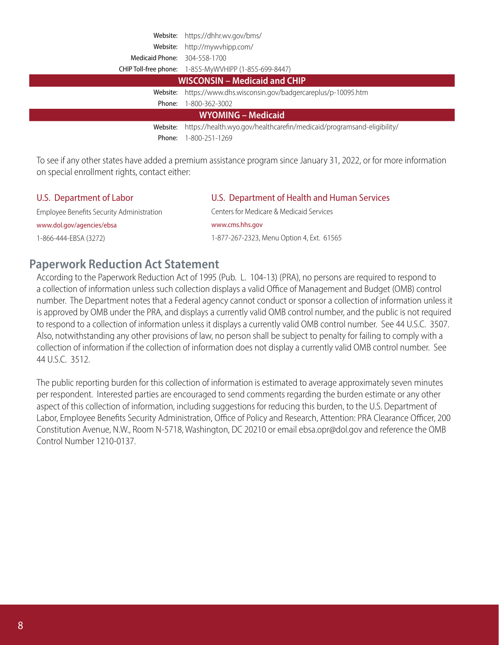|                               | Website: https://dhhr.wv.gov/bms/                                               |  |
|-------------------------------|---------------------------------------------------------------------------------|--|
|                               | Website: http://mywvhipp.com/                                                   |  |
| Medicaid Phone: 304-558-1700  |                                                                                 |  |
|                               | CHIP Toll-free phone: 1-855-MyWVHIPP (1-855-699-8447)                           |  |
| WISCONSIN - Medicaid and CHIP |                                                                                 |  |
|                               | Website: https://www.dhs.wisconsin.gov/badgercareplus/p-10095.htm               |  |
| Phone:                        | 1-800-362-3002                                                                  |  |
| <b>WYOMING - Medicaid</b>     |                                                                                 |  |
|                               | Website: https://health.wyo.gov/healthcarefin/medicaid/programsand-eligibility/ |  |
| Phone:                        | 1-800-251-1269                                                                  |  |

To see if any other states have added a premium assistance program since January 31, 2022, or for more information on special enrollment rights, contact either:

Employee Benefits Security Administration Centers for Medicare & Medicaid Services www.dol.gov/agencies/ebsa www.cms.hhs.gov

### U.S. Department of Labor U.S. Department of Health and Human Services

1-866-444-EBSA (3272) 1-877-267-2323, Menu Option 4, Ext. 61565

### **Paperwork Reduction Act Statement**

According to the Paperwork Reduction Act of 1995 (Pub. L. 104-13) (PRA), no persons are required to respond to a collection of information unless such collection displays a valid Office of Management and Budget (OMB) control number. The Department notes that a Federal agency cannot conduct or sponsor a collection of information unless it is approved by OMB under the PRA, and displays a currently valid OMB control number, and the public is not required to respond to a collection of information unless it displays a currently valid OMB control number. See 44 U.S.C. 3507. Also, notwithstanding any other provisions of law, no person shall be subject to penalty for failing to comply with a collection of information if the collection of information does not display a currently valid OMB control number. See 44 U.S.C. 3512.

The public reporting burden for this collection of information is estimated to average approximately seven minutes per respondent. Interested parties are encouraged to send comments regarding the burden estimate or any other aspect of this collection of information, including suggestions for reducing this burden, to the U.S. Department of Labor, Employee Benefits Security Administration, Office of Policy and Research, Attention: PRA Clearance Officer, 200 Constitution Avenue, N.W., Room N-5718, Washington, DC 20210 or email ebsa.opr@dol.gov and reference the OMB Control Number 1210-0137.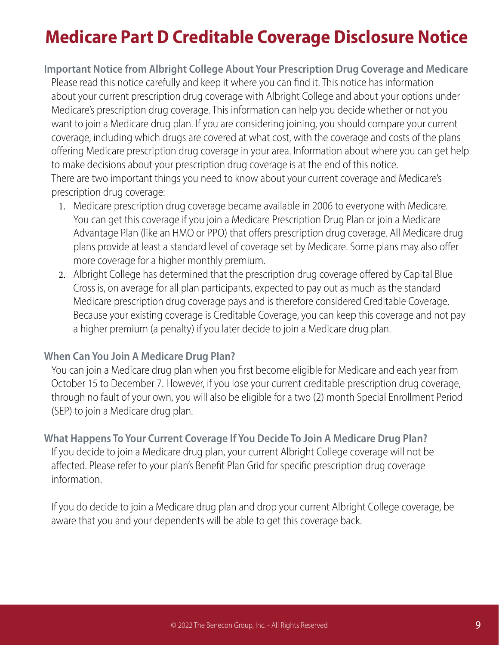### **Medicare Part D Creditable Coverage Disclosure Notice**

### **Important Notice from Albright College About Your Prescription Drug Coverage and Medicare**

Please read this notice carefully and keep it where you can find it. This notice has information about your current prescription drug coverage with Albright College and about your options under Medicare's prescription drug coverage. This information can help you decide whether or not you want to join a Medicare drug plan. If you are considering joining, you should compare your current coverage, including which drugs are covered at what cost, with the coverage and costs of the plans offering Medicare prescription drug coverage in your area. Information about where you can get help to make decisions about your prescription drug coverage is at the end of this notice. There are two important things you need to know about your current coverage and Medicare's prescription drug coverage:

- 1. Medicare prescription drug coverage became available in 2006 to everyone with Medicare. You can get this coverage if you join a Medicare Prescription Drug Plan or join a Medicare Advantage Plan (like an HMO or PPO) that offers prescription drug coverage. All Medicare drug plans provide at least a standard level of coverage set by Medicare. Some plans may also offer more coverage for a higher monthly premium.
- 2. Albright College has determined that the prescription drug coverage offered by Capital Blue Cross is, on average for all plan participants, expected to pay out as much as the standard Medicare prescription drug coverage pays and is therefore considered Creditable Coverage. Because your existing coverage is Creditable Coverage, you can keep this coverage and not pay a higher premium (a penalty) if you later decide to join a Medicare drug plan.

### **When Can You Join A Medicare Drug Plan?**

You can join a Medicare drug plan when you first become eligible for Medicare and each year from October 15 to December 7. However, if you lose your current creditable prescription drug coverage, through no fault of your own, you will also be eligible for a two (2) month Special Enrollment Period (SEP) to join a Medicare drug plan.

### **What Happens To Your Current Coverage If You Decide To Join A Medicare Drug Plan?**

If you decide to join a Medicare drug plan, your current Albright College coverage will not be affected. Please refer to your plan's Benefit Plan Grid for specific prescription drug coverage information.

If you do decide to join a Medicare drug plan and drop your current Albright College coverage, be aware that you and your dependents will be able to get this coverage back.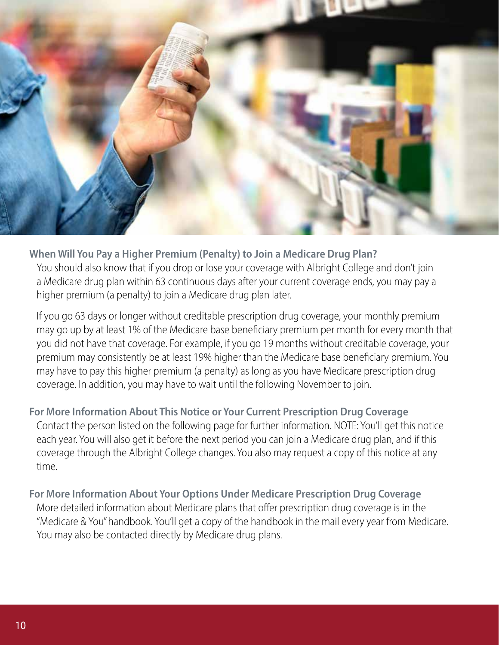

**When Will You Pay a Higher Premium (Penalty) to Join a Medicare Drug Plan?** You should also know that if you drop or lose your coverage with Albright College and don't join a Medicare drug plan within 63 continuous days after your current coverage ends, you may pay a higher premium (a penalty) to join a Medicare drug plan later.

If you go 63 days or longer without creditable prescription drug coverage, your monthly premium may go up by at least 1% of the Medicare base beneficiary premium per month for every month that you did not have that coverage. For example, if you go 19 months without creditable coverage, your premium may consistently be at least 19% higher than the Medicare base beneficiary premium. You may have to pay this higher premium (a penalty) as long as you have Medicare prescription drug coverage. In addition, you may have to wait until the following November to join.

**For More Information About This Notice or Your Current Prescription Drug Coverage** Contact the person listed on the following page for further information. NOTE: You'll get this notice each year. You will also get it before the next period you can join a Medicare drug plan, and if this coverage through the Albright College changes. You also may request a copy of this notice at any time.

**For More Information About Your Options Under Medicare Prescription Drug Coverage** More detailed information about Medicare plans that offer prescription drug coverage is in the "Medicare & You" handbook. You'll get a copy of the handbook in the mail every year from Medicare. You may also be contacted directly by Medicare drug plans.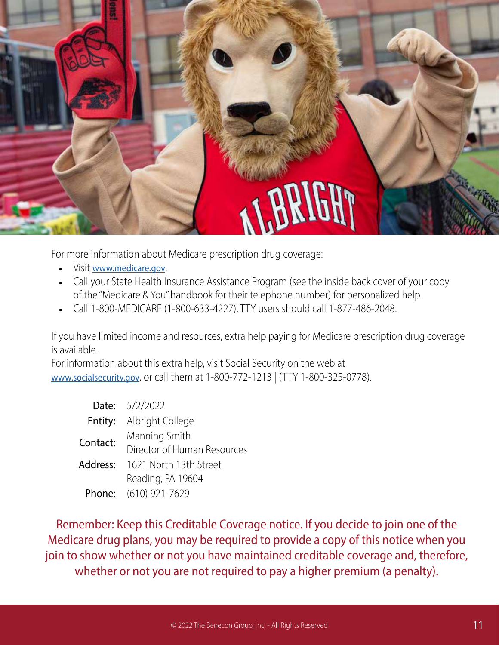

For more information about Medicare prescription drug coverage:

- Visit www.medicare.gov.
- Call your State Health Insurance Assistance Program (see the inside back cover of your copy of the "Medicare & You" handbook for their telephone number) for personalized help.
- Call 1-800-MEDICARE (1-800-633-4227). TTY users should call 1-877-486-2048.

If you have limited income and resources, extra help paying for Medicare prescription drug coverage is available.

For information about this extra help, visit Social Security on the web at www.socialsecurity.gov, or call them at 1-800-772-1213 | (TTY 1-800-325-0778).

|          | <b>Date:</b> 5/2/2022           |
|----------|---------------------------------|
|          | <b>Entity:</b> Albright College |
| Contact: | Manning Smith                   |
|          | Director of Human Resources     |
| Address: | 1621 North 13th Street          |
|          | Reading, PA 19604               |
|          | Phone: (610) 921-7629           |

Remember: Keep this Creditable Coverage notice. If you decide to join one of the Medicare drug plans, you may be required to provide a copy of this notice when you join to show whether or not you have maintained creditable coverage and, therefore, whether or not you are not required to pay a higher premium (a penalty).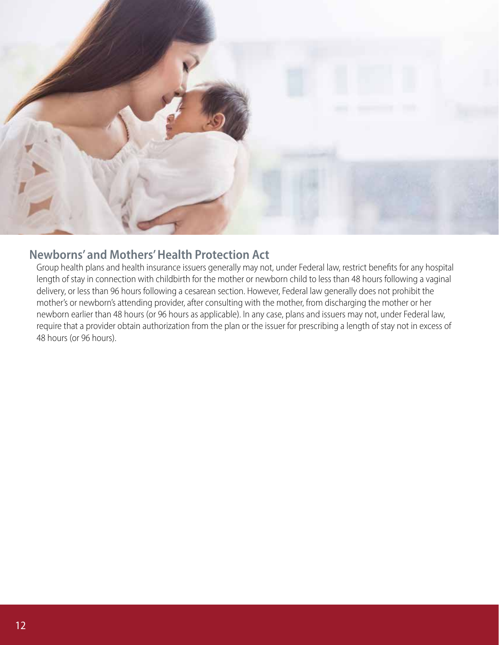

### **Newborns' and Mothers' Health Protection Act**

Group health plans and health insurance issuers generally may not, under Federal law, restrict benefits for any hospital length of stay in connection with childbirth for the mother or newborn child to less than 48 hours following a vaginal delivery, or less than 96 hours following a cesarean section. However, Federal law generally does not prohibit the mother's or newborn's attending provider, after consulting with the mother, from discharging the mother or her newborn earlier than 48 hours (or 96 hours as applicable). In any case, plans and issuers may not, under Federal law, require that a provider obtain authorization from the plan or the issuer for prescribing a length of stay not in excess of 48 hours (or 96 hours).